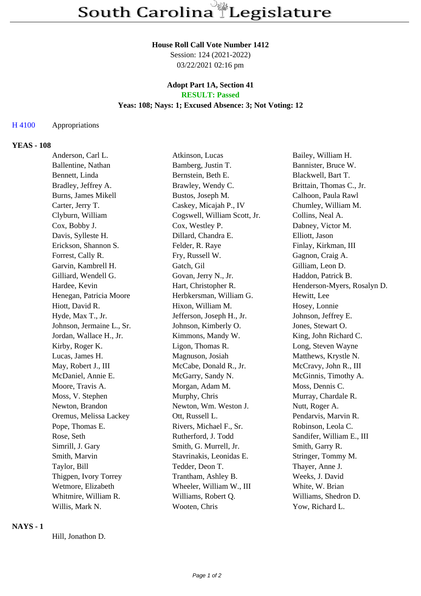# **House Roll Call Vote Number 1412**

Session: 124 (2021-2022) 03/22/2021 02:16 pm

#### **Adopt Part 1A, Section 41 RESULT: Passed**

# **Yeas: 108; Nays: 1; Excused Absence: 3; Not Voting: 12**

#### H 4100 Appropriations

## **YEAS - 108**

| Anderson, Carl L.         | Atkinson, Lucas              | Bailey, William H.          |
|---------------------------|------------------------------|-----------------------------|
| Ballentine, Nathan        | Bamberg, Justin T.           | Bannister, Bruce W.         |
| Bennett, Linda            | Bernstein, Beth E.           | Blackwell, Bart T.          |
| Bradley, Jeffrey A.       | Brawley, Wendy C.            | Brittain, Thomas C., Jr.    |
| Burns, James Mikell       | Bustos, Joseph M.            | Calhoon, Paula Rawl         |
| Carter, Jerry T.          | Caskey, Micajah P., IV       | Chumley, William M.         |
| Clyburn, William          | Cogswell, William Scott, Jr. | Collins, Neal A.            |
| Cox, Bobby J.             | Cox, Westley P.              | Dabney, Victor M.           |
| Davis, Sylleste H.        | Dillard, Chandra E.          | Elliott, Jason              |
| Erickson, Shannon S.      | Felder, R. Raye              | Finlay, Kirkman, III        |
| Forrest, Cally R.         | Fry, Russell W.              | Gagnon, Craig A.            |
| Garvin, Kambrell H.       | Gatch, Gil                   | Gilliam, Leon D.            |
| Gilliard, Wendell G.      | Govan, Jerry N., Jr.         | Haddon, Patrick B.          |
| Hardee, Kevin             | Hart, Christopher R.         | Henderson-Myers, Rosalyn D. |
| Henegan, Patricia Moore   | Herbkersman, William G.      | Hewitt, Lee                 |
| Hiott, David R.           | Hixon, William M.            | Hosey, Lonnie               |
| Hyde, Max T., Jr.         | Jefferson, Joseph H., Jr.    | Johnson, Jeffrey E.         |
| Johnson, Jermaine L., Sr. | Johnson, Kimberly O.         | Jones, Stewart O.           |
| Jordan, Wallace H., Jr.   | Kimmons, Mandy W.            | King, John Richard C.       |
| Kirby, Roger K.           | Ligon, Thomas R.             | Long, Steven Wayne          |
| Lucas, James H.           | Magnuson, Josiah             | Matthews, Krystle N.        |
| May, Robert J., III       | McCabe, Donald R., Jr.       | McCravy, John R., III       |
| McDaniel, Annie E.        | McGarry, Sandy N.            | McGinnis, Timothy A.        |
| Moore, Travis A.          | Morgan, Adam M.              | Moss, Dennis C.             |
| Moss, V. Stephen          | Murphy, Chris                | Murray, Chardale R.         |
| Newton, Brandon           | Newton, Wm. Weston J.        | Nutt, Roger A.              |
| Oremus, Melissa Lackey    | Ott, Russell L.              | Pendarvis, Marvin R.        |
| Pope, Thomas E.           | Rivers, Michael F., Sr.      | Robinson, Leola C.          |
| Rose, Seth                | Rutherford, J. Todd          | Sandifer, William E., III   |
| Simrill, J. Gary          | Smith, G. Murrell, Jr.       | Smith, Garry R.             |
| Smith, Marvin             | Stavrinakis, Leonidas E.     | Stringer, Tommy M.          |
| Taylor, Bill              | Tedder, Deon T.              | Thayer, Anne J.             |
| Thigpen, Ivory Torrey     | Trantham, Ashley B.          | Weeks, J. David             |
| Wetmore, Elizabeth        | Wheeler, William W., III     | White, W. Brian             |
| Whitmire, William R.      | Williams, Robert Q.          | Williams, Shedron D.        |
| Willis, Mark N.           | Wooten, Chris                | Yow, Richard L.             |

## **NAYS - 1**

Hill, Jonathon D.